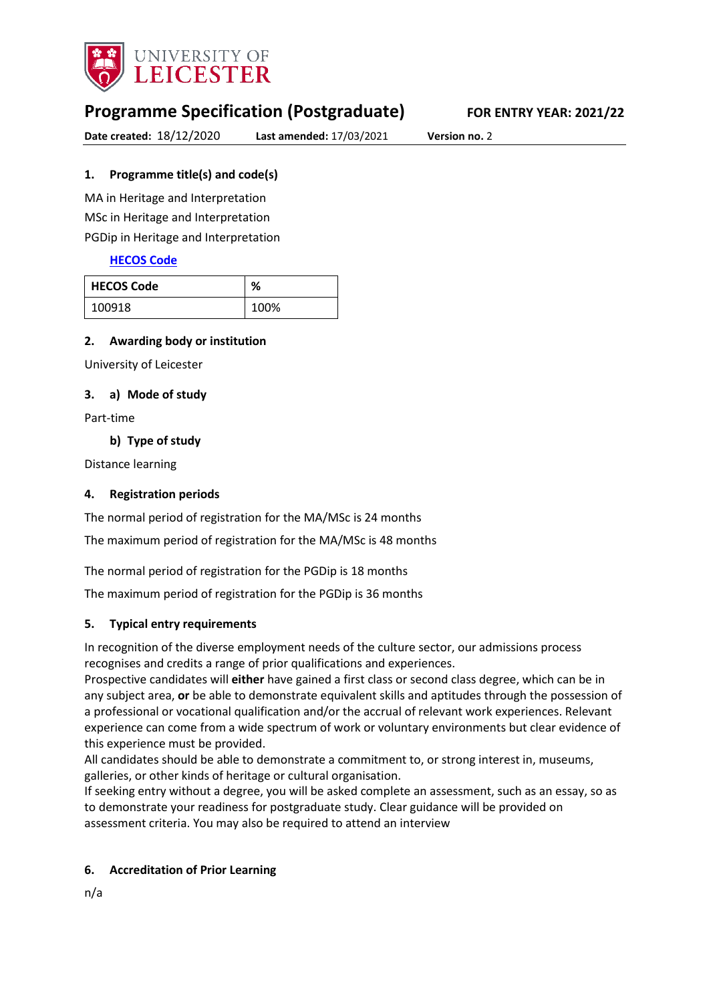

# **Programme Specification (Postgraduate) FOR ENTRY YEAR: 2021/22**

**Date created:** 18/12/2020 **Last amended:** 17/03/2021 **Version no.** 2

# <span id="page-0-0"></span>**1. Programme title(s) and code(s)**

MA in Heritage and Interpretation MSc in Heritage and Interpretation PGDip in Heritage and Interpretation

# **[HECOS Code](https://www.hesa.ac.uk/innovation/hecos)**

| <b>HECOS Code</b> | %    |
|-------------------|------|
| 100918            | 100% |

## **2. Awarding body or institution**

University of Leicester

## **3. a) Mode of study**

Part-time

**b) Type of study**

Distance learning

# **4. Registration periods**

The normal period of registration for the MA/MSc is 24 months

The maximum period of registration for the MA/MSc is 48 months

The normal period of registration for the PGDip is 18 months

The maximum period of registration for the PGDip is 36 months

# **5. Typical entry requirements**

In recognition of the diverse employment needs of the culture sector, our admissions process recognises and credits a range of prior qualifications and experiences.

Prospective candidates will **either** have gained a first class or second class degree, which can be in any subject area, **or** be able to demonstrate equivalent skills and aptitudes through the possession of a professional or vocational qualification and/or the accrual of relevant work experiences. Relevant experience can come from a wide spectrum of work or voluntary environments but clear evidence of this experience must be provided. 

All candidates should be able to demonstrate a commitment to, or strong interest in, museums, galleries, or other kinds of heritage or cultural organisation.

If seeking entry without a degree, you will be asked complete an assessment, such as an essay, so as to demonstrate your readiness for postgraduate study. Clear guidance will be provided on assessment criteria. You may also be required to attend an interview

## **6. Accreditation of Prior Learning**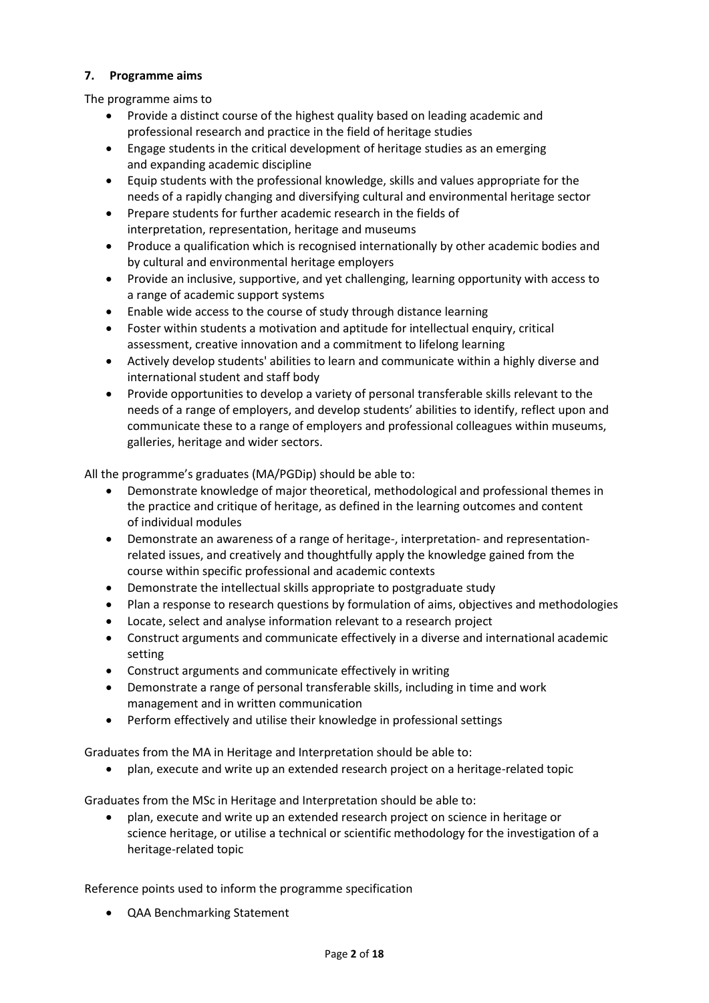## **7. Programme aims**

The programme aims to

- Provide a distinct course of the highest quality based on leading academic and professional research and practice in the field of heritage studies
- Engage students in the critical development of heritage studies as an emerging and expanding academic discipline
- Equip students with the professional knowledge, skills and values appropriate for the needs of a rapidly changing and diversifying cultural and environmental heritage sector
- Prepare students for further academic research in the fields of interpretation, representation, heritage and museums
- Produce a qualification which is recognised internationally by other academic bodies and by cultural and environmental heritage employers
- Provide an inclusive, supportive, and yet challenging, learning opportunity with access to a range of academic support systems
- Enable wide access to the course of study through distance learning
- Foster within students a motivation and aptitude for intellectual enquiry, critical assessment, creative innovation and a commitment to lifelong learning
- Actively develop students' abilities to learn and communicate within a highly diverse and international student and staff body
- Provide opportunities to develop a variety of personal transferable skills relevant to the needs of a range of employers, and develop students' abilities to identify, reflect upon and communicate these to a range of employers and professional colleagues within museums, galleries, heritage and wider sectors.

All the programme's graduates (MA/PGDip) should be able to:

- Demonstrate knowledge of major theoretical, methodological and professional themes in the practice and critique of heritage, as defined in the learning outcomes and content of individual modules
- Demonstrate an awareness of a range of heritage-, interpretation- and representationrelated issues, and creatively and thoughtfully apply the knowledge gained from the course within specific professional and academic contexts
- Demonstrate the intellectual skills appropriate to postgraduate study
- Plan a response to research questions by formulation of aims, objectives and methodologies
- Locate, select and analyse information relevant to a research project
- Construct arguments and communicate effectively in a diverse and international academic setting
- Construct arguments and communicate effectively in writing
- Demonstrate a range of personal transferable skills, including in time and work management and in written communication
- Perform effectively and utilise their knowledge in professional settings

Graduates from the MA in Heritage and Interpretation should be able to:

plan, execute and write up an extended research project on a heritage-related topic

Graduates from the MSc in Heritage and Interpretation should be able to:

 plan, execute and write up an extended research project on science in heritage or science heritage, or utilise a technical or scientific methodology for the investigation of a heritage-related topic

Reference points used to inform the programme specification

QAA Benchmarking Statement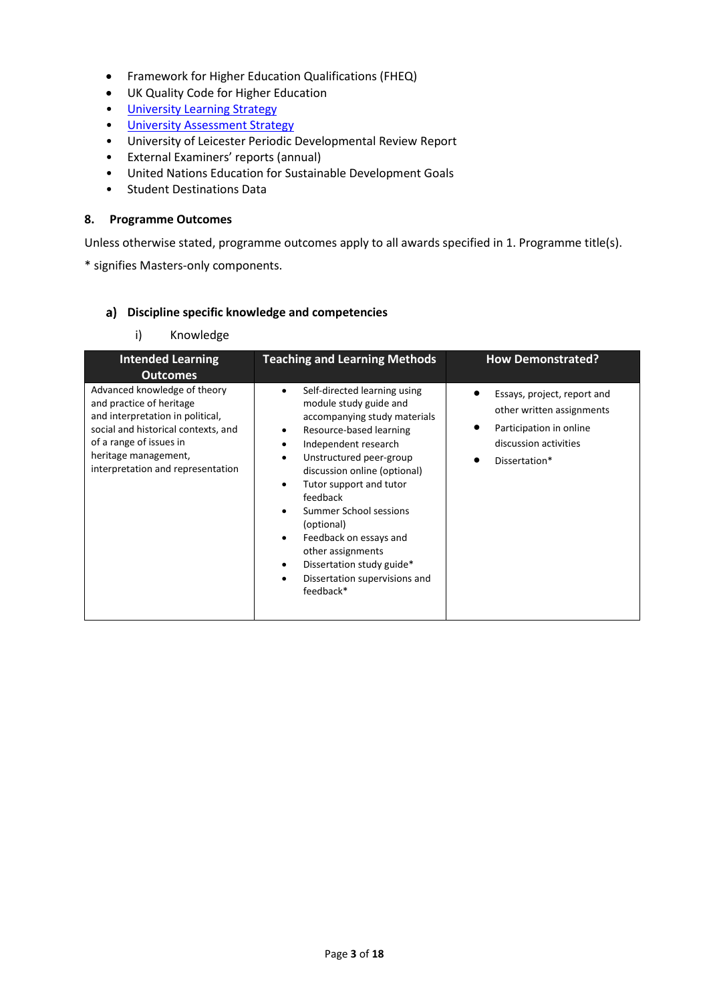- Framework for Higher Education Qualifications (FHEQ)
- UK Quality Code for Higher Education
- [University Learning](https://www2.le.ac.uk/offices/sas2/quality/learnteach) Strategy
- [University Assessment Strategy](https://www2.le.ac.uk/offices/sas2/quality/learnteach)
- University of Leicester Periodic Developmental Review Report
- External Examiners' reports (annual)
- United Nations Education for Sustainable Development Goals
- Student Destinations Data

#### **8. Programme Outcomes**

Unless otherwise stated, programme outcomes apply to all awards specified in [1.](#page-0-0) Programme title(s).

\* signifies Masters-only components.

#### **Discipline specific knowledge and competencies**

i) Knowledge

| <b>Intended Learning</b>                                                                                                                                                                                                    | <b>Teaching and Learning Methods</b>                                                                                                                                                                                                                                                                                                                                                                                       | <b>How Demonstrated?</b>                                                                                                      |
|-----------------------------------------------------------------------------------------------------------------------------------------------------------------------------------------------------------------------------|----------------------------------------------------------------------------------------------------------------------------------------------------------------------------------------------------------------------------------------------------------------------------------------------------------------------------------------------------------------------------------------------------------------------------|-------------------------------------------------------------------------------------------------------------------------------|
| <b>Outcomes</b>                                                                                                                                                                                                             |                                                                                                                                                                                                                                                                                                                                                                                                                            |                                                                                                                               |
| Advanced knowledge of theory<br>and practice of heritage<br>and interpretation in political,<br>social and historical contexts, and<br>of a range of issues in<br>heritage management,<br>interpretation and representation | Self-directed learning using<br>module study guide and<br>accompanying study materials<br>Resource-based learning<br>Independent research<br>Unstructured peer-group<br>discussion online (optional)<br>Tutor support and tutor<br>feedback<br>Summer School sessions<br>(optional)<br>Feedback on essays and<br>other assignments<br>Dissertation study guide*<br>$\bullet$<br>Dissertation supervisions and<br>feedback* | Essays, project, report and<br>other written assignments<br>Participation in online<br>discussion activities<br>Dissertation* |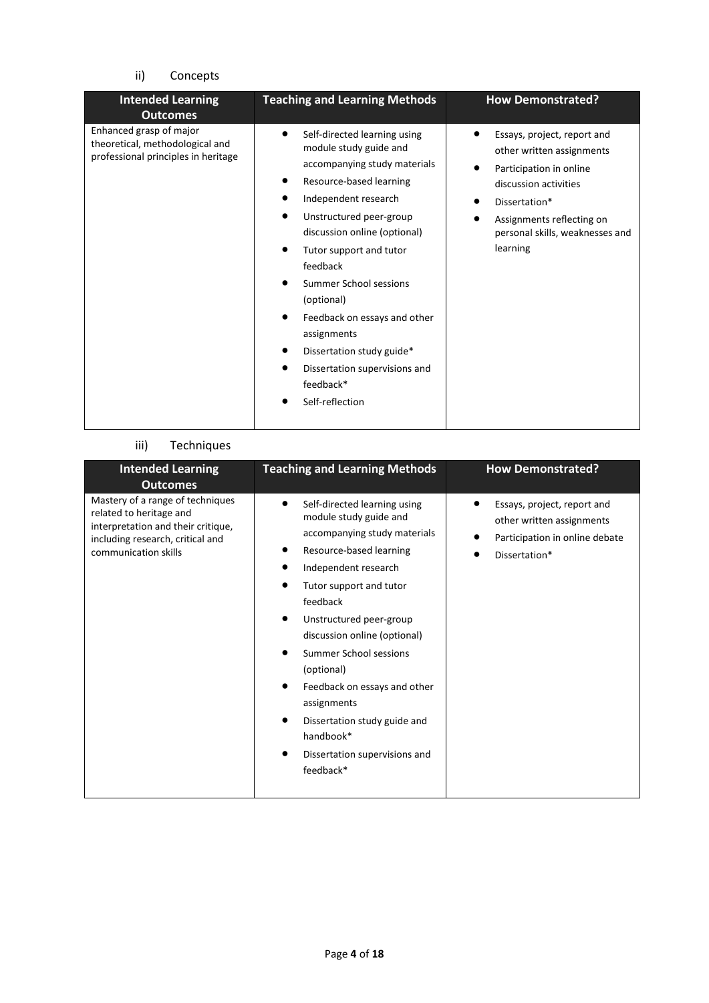# ii) Concepts

| <b>Teaching and Learning Methods</b><br><b>Intended Learning</b><br><b>Outcomes</b>                                                                                                                                                                                                                                                                                                                                                                                                                                                   |                                                                                                                                                                                                           |
|---------------------------------------------------------------------------------------------------------------------------------------------------------------------------------------------------------------------------------------------------------------------------------------------------------------------------------------------------------------------------------------------------------------------------------------------------------------------------------------------------------------------------------------|-----------------------------------------------------------------------------------------------------------------------------------------------------------------------------------------------------------|
| Enhanced grasp of major<br>Self-directed learning using<br>theoretical, methodological and<br>module study guide and<br>professional principles in heritage<br>accompanying study materials<br>Resource-based learning<br>Independent research<br>Unstructured peer-group<br>discussion online (optional)<br>Tutor support and tutor<br>feedback<br>Summer School sessions<br>(optional)<br>Feedback on essays and other<br>assignments<br>Dissertation study guide*<br>Dissertation supervisions and<br>feedback*<br>Self-reflection | Essays, project, report and<br>other written assignments<br>Participation in online<br>discussion activities<br>Dissertation*<br>Assignments reflecting on<br>personal skills, weaknesses and<br>learning |

### iii) Techniques

| <b>Intended Learning</b><br><b>Outcomes</b>                                                                                                                   | <b>Teaching and Learning Methods</b>                                                                                                                                                                                                                                                                                                                                                                                          | <b>How Demonstrated?</b>                                                                                    |
|---------------------------------------------------------------------------------------------------------------------------------------------------------------|-------------------------------------------------------------------------------------------------------------------------------------------------------------------------------------------------------------------------------------------------------------------------------------------------------------------------------------------------------------------------------------------------------------------------------|-------------------------------------------------------------------------------------------------------------|
| Mastery of a range of techniques<br>related to heritage and<br>interpretation and their critique,<br>including research, critical and<br>communication skills | Self-directed learning using<br>module study guide and<br>accompanying study materials<br>Resource-based learning<br>Independent research<br>Tutor support and tutor<br>feedback<br>Unstructured peer-group<br>discussion online (optional)<br>Summer School sessions<br>(optional)<br>Feedback on essays and other<br>assignments<br>Dissertation study guide and<br>handbook*<br>Dissertation supervisions and<br>feedback* | Essays, project, report and<br>other written assignments<br>Participation in online debate<br>Dissertation* |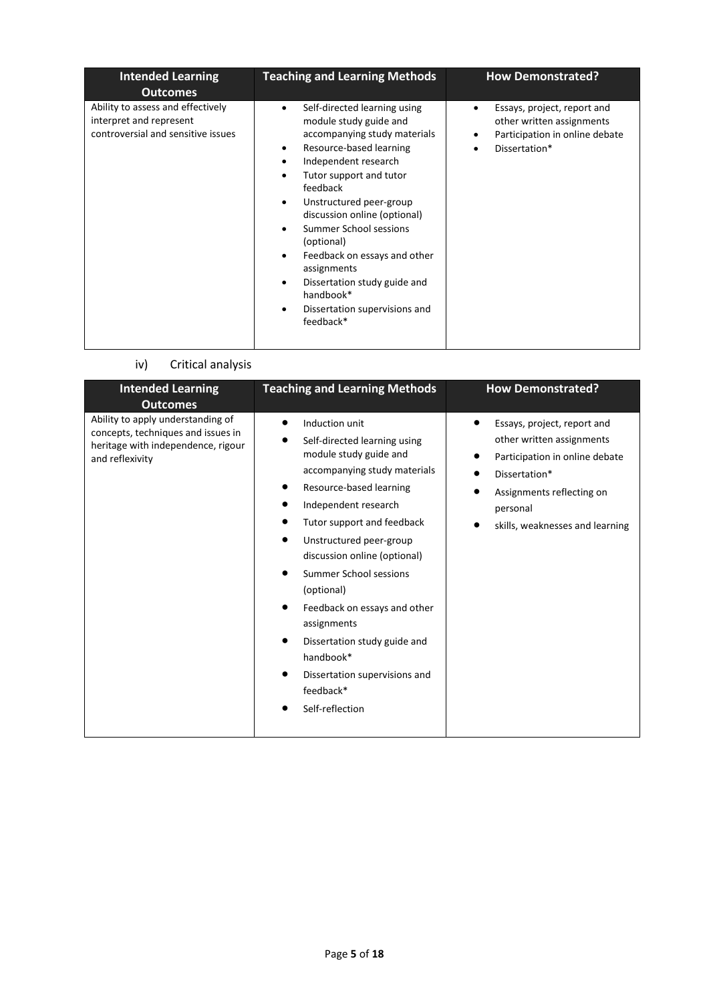| <b>Intended Learning</b><br><b>Outcomes</b>                                                        | <b>Teaching and Learning Methods</b>                                                                                                                                                                                                                                                                                                                                                                                                    | <b>How Demonstrated?</b>                                                                                                                           |
|----------------------------------------------------------------------------------------------------|-----------------------------------------------------------------------------------------------------------------------------------------------------------------------------------------------------------------------------------------------------------------------------------------------------------------------------------------------------------------------------------------------------------------------------------------|----------------------------------------------------------------------------------------------------------------------------------------------------|
| Ability to assess and effectively<br>interpret and represent<br>controversial and sensitive issues | Self-directed learning using<br>module study guide and<br>accompanying study materials<br>Resource-based learning<br>٠<br>Independent research<br>Tutor support and tutor<br>feedback<br>Unstructured peer-group<br>٠<br>discussion online (optional)<br>Summer School sessions<br>(optional)<br>Feedback on essays and other<br>assignments<br>Dissertation study guide and<br>handbook*<br>Dissertation supervisions and<br>feedback* | Essays, project, report and<br>$\bullet$<br>other written assignments<br>Participation in online debate<br>$\bullet$<br>Dissertation*<br>$\bullet$ |

iv) Critical analysis

| <b>Intended Learning</b>                                                                                                         | <b>Teaching and Learning Methods</b>                                                                                                                                                                                                                                                                                                                                                                                                                      | <b>How Demonstrated?</b>                                                                                                                                                                |
|----------------------------------------------------------------------------------------------------------------------------------|-----------------------------------------------------------------------------------------------------------------------------------------------------------------------------------------------------------------------------------------------------------------------------------------------------------------------------------------------------------------------------------------------------------------------------------------------------------|-----------------------------------------------------------------------------------------------------------------------------------------------------------------------------------------|
| <b>Outcomes</b>                                                                                                                  |                                                                                                                                                                                                                                                                                                                                                                                                                                                           |                                                                                                                                                                                         |
| Ability to apply understanding of<br>concepts, techniques and issues in<br>heritage with independence, rigour<br>and reflexivity | Induction unit<br>Self-directed learning using<br>module study guide and<br>accompanying study materials<br>Resource-based learning<br>Independent research<br>Tutor support and feedback<br>Unstructured peer-group<br>discussion online (optional)<br>Summer School sessions<br>(optional)<br>Feedback on essays and other<br>assignments<br>Dissertation study guide and<br>handbook*<br>Dissertation supervisions and<br>feedback*<br>Self-reflection | Essays, project, report and<br>other written assignments<br>Participation in online debate<br>Dissertation*<br>Assignments reflecting on<br>personal<br>skills, weaknesses and learning |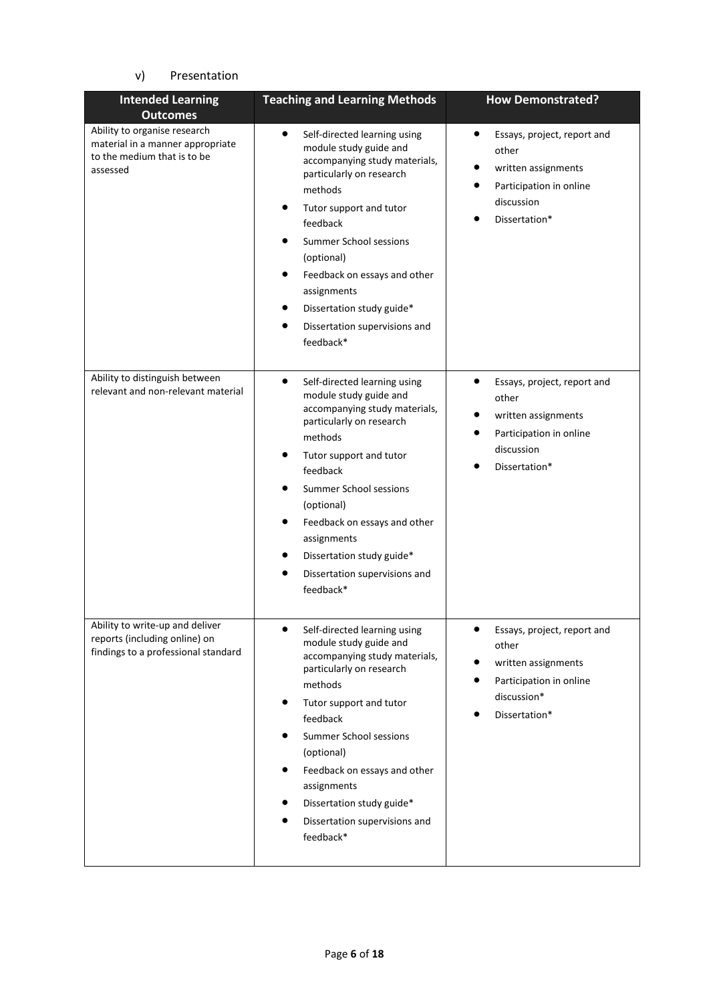# v) Presentation

| <b>Intended Learning</b><br><b>Outcomes</b>                                                                 | <b>Teaching and Learning Methods</b>                                                                                                                                                                                                                                                                                                                                                     | <b>How Demonstrated?</b>                                                                                                           |
|-------------------------------------------------------------------------------------------------------------|------------------------------------------------------------------------------------------------------------------------------------------------------------------------------------------------------------------------------------------------------------------------------------------------------------------------------------------------------------------------------------------|------------------------------------------------------------------------------------------------------------------------------------|
| Ability to organise research<br>material in a manner appropriate<br>to the medium that is to be<br>assessed | $\bullet$<br>Self-directed learning using<br>module study guide and<br>accompanying study materials,<br>particularly on research<br>methods<br>Tutor support and tutor<br>feedback<br><b>Summer School sessions</b><br>(optional)<br>Feedback on essays and other<br>assignments<br>Dissertation study guide*<br>Dissertation supervisions and<br>feedback*                              | $\bullet$<br>Essays, project, report and<br>other<br>written assignments<br>Participation in online<br>discussion<br>Dissertation* |
| Ability to distinguish between<br>relevant and non-relevant material                                        | Self-directed learning using<br>$\bullet$<br>module study guide and<br>accompanying study materials,<br>particularly on research<br>methods<br>Tutor support and tutor<br>$\bullet$<br>feedback<br>Summer School sessions<br>(optional)<br>Feedback on essays and other<br>assignments<br>Dissertation study guide*<br>٠<br>Dissertation supervisions and<br>feedback*                   | Essays, project, report and<br>other<br>written assignments<br>Participation in online<br>discussion<br>Dissertation*              |
| Ability to write-up and deliver<br>reports (including online) on<br>findings to a professional standard     | $\bullet$<br>Self-directed learning using<br>module study guide and<br>accompanying study materials,<br>particularly on research<br>methods<br>$\bullet$<br>Tutor support and tutor<br>feedback<br>Summer School sessions<br>٠<br>(optional)<br>٠<br>Feedback on essays and other<br>assignments<br>Dissertation study guide*<br>Dissertation supervisions and<br>$\bullet$<br>feedback* | Essays, project, report and<br>other<br>written assignments<br>Participation in online<br>discussion*<br>Dissertation*             |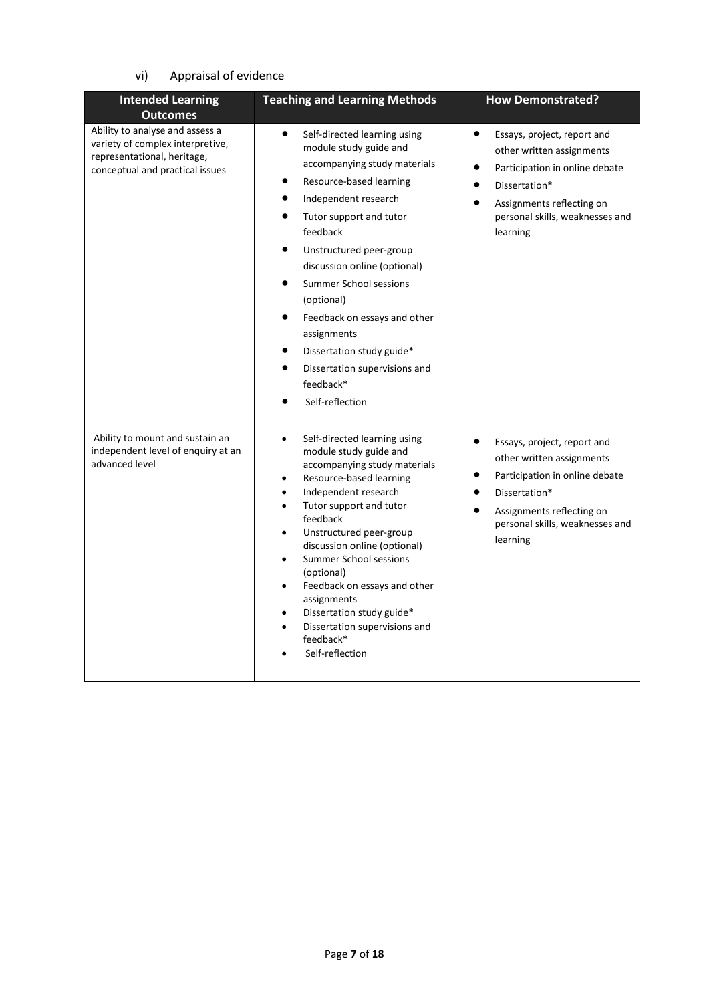# vi) Appraisal of evidence

| <b>Intended Learning</b><br><b>Outcomes</b>                                                                                           | <b>Teaching and Learning Methods</b>                                                                                                                                                                                                                                                                                                                                                                                                                                                                                                                  | <b>How Demonstrated?</b>                                                                                                                                                                             |
|---------------------------------------------------------------------------------------------------------------------------------------|-------------------------------------------------------------------------------------------------------------------------------------------------------------------------------------------------------------------------------------------------------------------------------------------------------------------------------------------------------------------------------------------------------------------------------------------------------------------------------------------------------------------------------------------------------|------------------------------------------------------------------------------------------------------------------------------------------------------------------------------------------------------|
| Ability to analyse and assess a<br>variety of complex interpretive,<br>representational, heritage,<br>conceptual and practical issues | $\bullet$<br>Self-directed learning using<br>module study guide and<br>accompanying study materials<br>Resource-based learning<br>Independent research<br>$\bullet$<br>$\bullet$<br>Tutor support and tutor<br>feedback<br>$\bullet$<br>Unstructured peer-group<br>discussion online (optional)<br><b>Summer School sessions</b><br>$\bullet$<br>(optional)<br>Feedback on essays and other<br>٠<br>assignments<br>Dissertation study guide*<br>Dissertation supervisions and<br>feedback*<br>Self-reflection                                         | Essays, project, report and<br>other written assignments<br>Participation in online debate<br>Dissertation*<br>Assignments reflecting on<br>personal skills, weaknesses and<br>learning              |
| Ability to mount and sustain an<br>independent level of enquiry at an<br>advanced level                                               | Self-directed learning using<br>$\bullet$<br>module study guide and<br>accompanying study materials<br>Resource-based learning<br>$\bullet$<br>Independent research<br>$\bullet$<br>Tutor support and tutor<br>$\bullet$<br>feedback<br>Unstructured peer-group<br>$\bullet$<br>discussion online (optional)<br>Summer School sessions<br>$\bullet$<br>(optional)<br>Feedback on essays and other<br>$\bullet$<br>assignments<br>Dissertation study guide*<br>$\bullet$<br>Dissertation supervisions and<br>$\bullet$<br>feedback*<br>Self-reflection | $\bullet$<br>Essays, project, report and<br>other written assignments<br>Participation in online debate<br>Dissertation*<br>Assignments reflecting on<br>personal skills, weaknesses and<br>learning |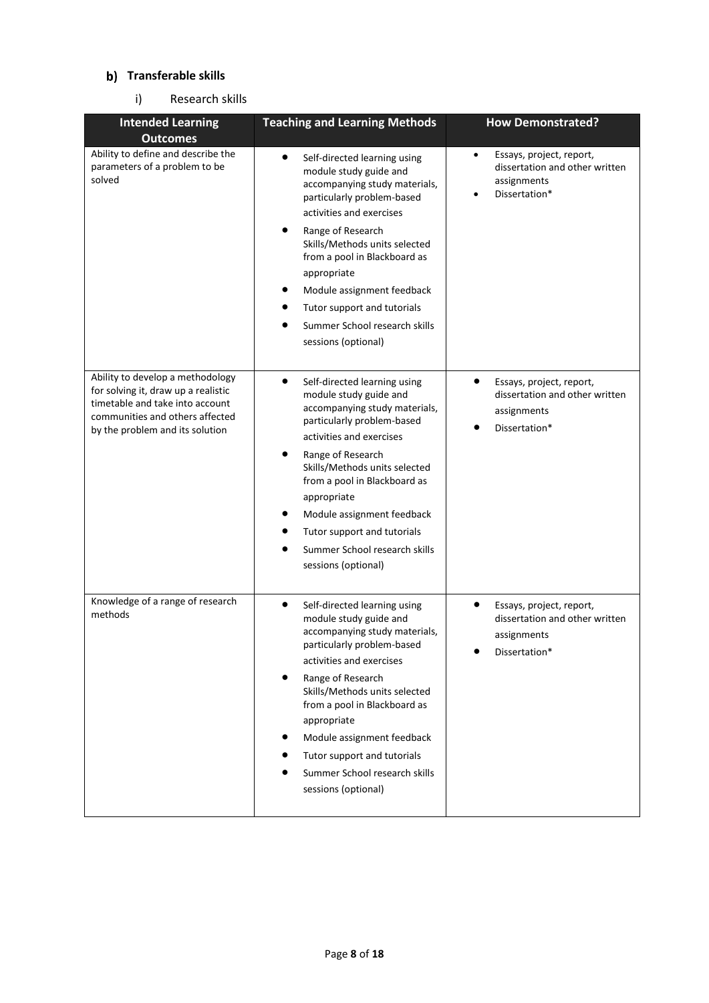### **Transferable skills**

### i) Research skills

| <b>Intended Learning</b><br><b>Outcomes</b>                                                                                                                                      | <b>Teaching and Learning Methods</b>                                                                                                                                                                                                                                                                                                                                                                               | <b>How Demonstrated?</b>                                                                                |
|----------------------------------------------------------------------------------------------------------------------------------------------------------------------------------|--------------------------------------------------------------------------------------------------------------------------------------------------------------------------------------------------------------------------------------------------------------------------------------------------------------------------------------------------------------------------------------------------------------------|---------------------------------------------------------------------------------------------------------|
| Ability to define and describe the<br>parameters of a problem to be<br>solved                                                                                                    | $\bullet$<br>Self-directed learning using<br>module study guide and<br>accompanying study materials,<br>particularly problem-based<br>activities and exercises<br>٠<br>Range of Research<br>Skills/Methods units selected<br>from a pool in Blackboard as<br>appropriate<br>Module assignment feedback<br>Tutor support and tutorials<br>Summer School research skills<br>●<br>sessions (optional)                 | Essays, project, report,<br>$\bullet$<br>dissertation and other written<br>assignments<br>Dissertation* |
| Ability to develop a methodology<br>for solving it, draw up a realistic<br>timetable and take into account<br>communities and others affected<br>by the problem and its solution | $\bullet$<br>Self-directed learning using<br>module study guide and<br>accompanying study materials,<br>particularly problem-based<br>activities and exercises<br>Range of Research<br>Skills/Methods units selected<br>from a pool in Blackboard as<br>appropriate<br>Module assignment feedback<br>Tutor support and tutorials<br>Summer School research skills<br>sessions (optional)                           | Essays, project, report,<br>dissertation and other written<br>assignments<br>Dissertation*              |
| Knowledge of a range of research<br>methods                                                                                                                                      | $\bullet$<br>Self-directed learning using<br>module study guide and<br>accompanying study materials,<br>particularly problem-based<br>activities and exercises<br>Range of Research<br>Skills/Methods units selected<br>from a pool in Blackboard as<br>appropriate<br>Module assignment feedback<br>$\bullet$<br>Tutor support and tutorials<br>Summer School research skills<br>$\bullet$<br>sessions (optional) | Essays, project, report,<br>dissertation and other written<br>assignments<br>Dissertation*              |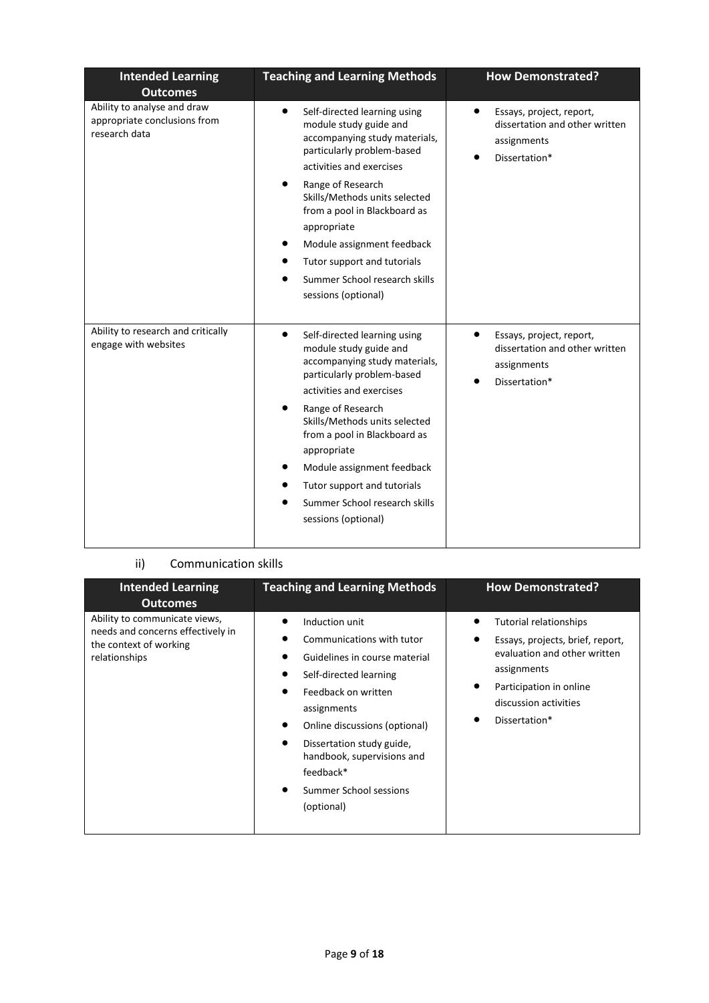| <b>Intended Learning</b><br><b>Outcomes</b>                                  | <b>Teaching and Learning Methods</b>                                                                                                                                                                                                                                                                                                                                                          | <b>How Demonstrated?</b>                                                                                |
|------------------------------------------------------------------------------|-----------------------------------------------------------------------------------------------------------------------------------------------------------------------------------------------------------------------------------------------------------------------------------------------------------------------------------------------------------------------------------------------|---------------------------------------------------------------------------------------------------------|
| Ability to analyse and draw<br>appropriate conclusions from<br>research data | $\bullet$<br>Self-directed learning using<br>module study guide and<br>accompanying study materials,<br>particularly problem-based<br>activities and exercises<br>Range of Research<br>٠<br>Skills/Methods units selected<br>from a pool in Blackboard as<br>appropriate<br>Module assignment feedback<br>Tutor support and tutorials<br>Summer School research skills<br>sessions (optional) | $\bullet$<br>Essays, project, report,<br>dissertation and other written<br>assignments<br>Dissertation* |
| Ability to research and critically<br>engage with websites                   | $\bullet$<br>Self-directed learning using<br>module study guide and<br>accompanying study materials,<br>particularly problem-based<br>activities and exercises<br>Range of Research<br>Skills/Methods units selected<br>from a pool in Blackboard as<br>appropriate<br>Module assignment feedback<br>Tutor support and tutorials<br>Summer School research skills<br>sessions (optional)      | $\bullet$<br>Essays, project, report,<br>dissertation and other written<br>assignments<br>Dissertation* |

# ii) Communication skills

| <b>Intended Learning</b><br><b>Outcomes</b>                                                                   | <b>Teaching and Learning Methods</b>                                                                                                                                                                                                                                                          | <b>How Demonstrated?</b>                                                                                                                                                       |
|---------------------------------------------------------------------------------------------------------------|-----------------------------------------------------------------------------------------------------------------------------------------------------------------------------------------------------------------------------------------------------------------------------------------------|--------------------------------------------------------------------------------------------------------------------------------------------------------------------------------|
| Ability to communicate views,<br>needs and concerns effectively in<br>the context of working<br>relationships | Induction unit<br>Communications with tutor<br>Guidelines in course material<br>Self-directed learning<br>Feedback on written<br>assignments<br>Online discussions (optional)<br>Dissertation study guide,<br>handbook, supervisions and<br>feedback*<br>Summer School sessions<br>(optional) | Tutorial relationships<br>Essays, projects, brief, report,<br>evaluation and other written<br>assignments<br>Participation in online<br>discussion activities<br>Dissertation* |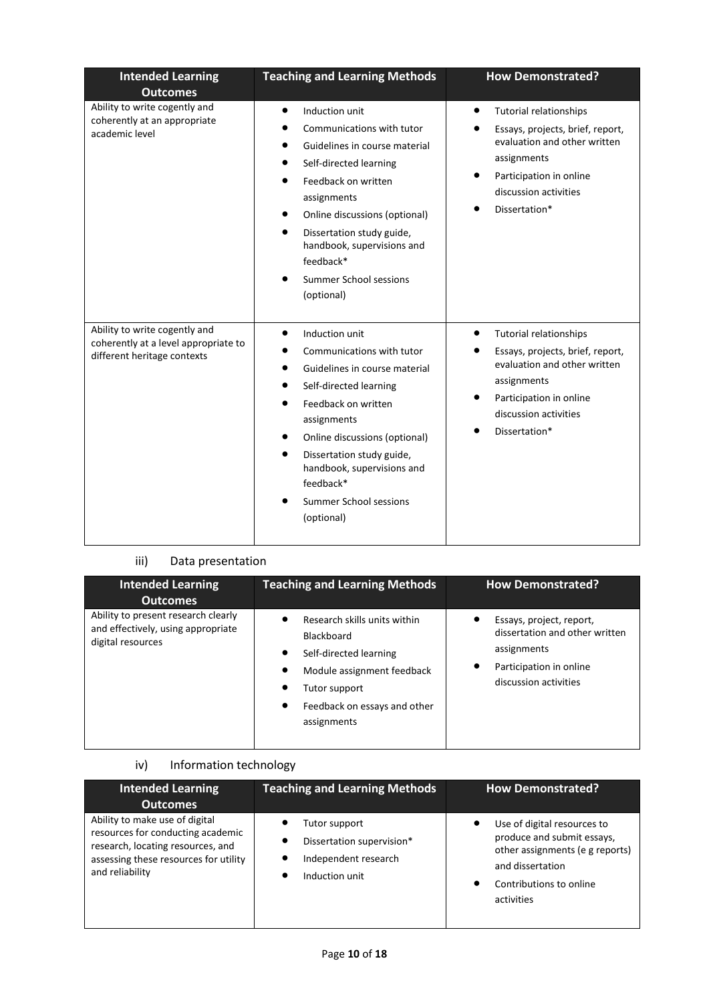| <b>Intended Learning</b><br><b>Outcomes</b>                                                          | <b>Teaching and Learning Methods</b>                                                                                                                                                                                                                                                                 | <b>How Demonstrated?</b>                                                                                                                                                                           |
|------------------------------------------------------------------------------------------------------|------------------------------------------------------------------------------------------------------------------------------------------------------------------------------------------------------------------------------------------------------------------------------------------------------|----------------------------------------------------------------------------------------------------------------------------------------------------------------------------------------------------|
| Ability to write cogently and<br>coherently at an appropriate<br>academic level                      | Induction unit<br>Communications with tutor<br>Guidelines in course material<br>Self-directed learning<br>Feedback on written<br>assignments<br>Online discussions (optional)<br>Dissertation study guide,<br>handbook, supervisions and<br>feedback*<br>Summer School sessions<br>(optional)        | <b>Tutorial relationships</b><br>$\bullet$<br>Essays, projects, brief, report,<br>evaluation and other written<br>assignments<br>Participation in online<br>discussion activities<br>Dissertation* |
| Ability to write cogently and<br>coherently at a level appropriate to<br>different heritage contexts | Induction unit<br>Communications with tutor<br>Guidelines in course material<br>Self-directed learning<br>Feedback on written<br>assignments<br>Online discussions (optional)<br>Dissertation study guide,<br>handbook, supervisions and<br>feedback*<br><b>Summer School sessions</b><br>(optional) | <b>Tutorial relationships</b><br>$\bullet$<br>Essays, projects, brief, report,<br>evaluation and other written<br>assignments<br>Participation in online<br>discussion activities<br>Dissertation* |

# iii) Data presentation

| <b>Intended Learning</b><br><b>Outcomes</b>                                                    | <b>Teaching and Learning Methods</b>                                                                                                                                    | <b>How Demonstrated?</b>                                                                                                      |
|------------------------------------------------------------------------------------------------|-------------------------------------------------------------------------------------------------------------------------------------------------------------------------|-------------------------------------------------------------------------------------------------------------------------------|
| Ability to present research clearly<br>and effectively, using appropriate<br>digital resources | Research skills units within<br>Blackboard<br>Self-directed learning<br>٠<br>Module assignment feedback<br>Tutor support<br>Feedback on essays and other<br>assignments | Essays, project, report,<br>dissertation and other written<br>assignments<br>Participation in online<br>discussion activities |

# iv) Information technology

| <b>Intended Learning</b>                                                                                                                                             | <b>Teaching and Learning Methods</b>                                                 | <b>How Demonstrated?</b>                                                                                                                                  |
|----------------------------------------------------------------------------------------------------------------------------------------------------------------------|--------------------------------------------------------------------------------------|-----------------------------------------------------------------------------------------------------------------------------------------------------------|
| <b>Outcomes</b>                                                                                                                                                      |                                                                                      |                                                                                                                                                           |
| Ability to make use of digital<br>resources for conducting academic<br>research, locating resources, and<br>assessing these resources for utility<br>and reliability | Tutor support<br>Dissertation supervision*<br>Independent research<br>Induction unit | Use of digital resources to<br>produce and submit essays,<br>other assignments (e g reports)<br>and dissertation<br>Contributions to online<br>activities |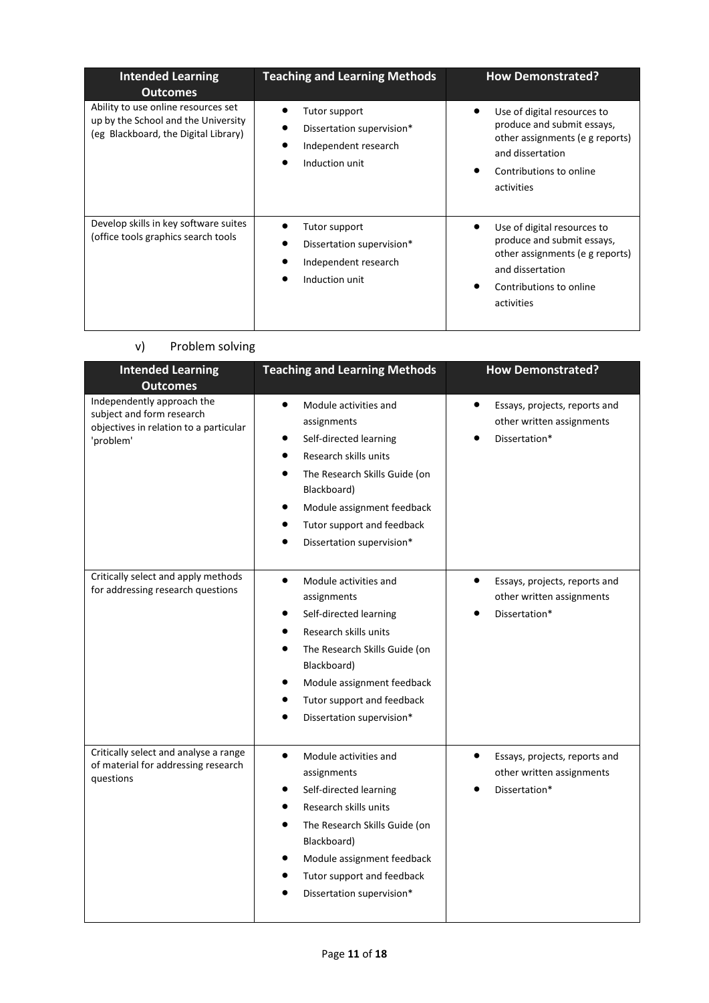| <b>Intended Learning</b><br><b>Outcomes</b>                                                                        | <b>Teaching and Learning Methods</b>                                                 | <b>How Demonstrated?</b>                                                                                                                                  |
|--------------------------------------------------------------------------------------------------------------------|--------------------------------------------------------------------------------------|-----------------------------------------------------------------------------------------------------------------------------------------------------------|
| Ability to use online resources set<br>up by the School and the University<br>(eg Blackboard, the Digital Library) | Tutor support<br>Dissertation supervision*<br>Independent research<br>Induction unit | Use of digital resources to<br>produce and submit essays,<br>other assignments (e g reports)<br>and dissertation<br>Contributions to online<br>activities |
| Develop skills in key software suites<br>(office tools graphics search tools                                       | Tutor support<br>Dissertation supervision*<br>Independent research<br>Induction unit | Use of digital resources to<br>produce and submit essays,<br>other assignments (e g reports)<br>and dissertation<br>Contributions to online<br>activities |

# v) Problem solving

| <b>Intended Learning</b><br><b>Outcomes</b>                                                                    | <b>Teaching and Learning Methods</b>                                                                                                                                                                                                                                                 | <b>How Demonstrated?</b>                                                                 |
|----------------------------------------------------------------------------------------------------------------|--------------------------------------------------------------------------------------------------------------------------------------------------------------------------------------------------------------------------------------------------------------------------------------|------------------------------------------------------------------------------------------|
| Independently approach the<br>subject and form research<br>objectives in relation to a particular<br>'problem' | Module activities and<br>$\bullet$<br>assignments<br>Self-directed learning<br>$\bullet$<br>Research skills units<br>$\bullet$<br>The Research Skills Guide (on<br>Blackboard)<br>Module assignment feedback<br>$\bullet$<br>Tutor support and feedback<br>Dissertation supervision* | $\bullet$<br>Essays, projects, reports and<br>other written assignments<br>Dissertation* |
| Critically select and apply methods<br>for addressing research questions                                       | Module activities and<br>$\bullet$<br>assignments<br>Self-directed learning<br>Research skills units<br>The Research Skills Guide (on<br>$\bullet$<br>Blackboard)<br>Module assignment feedback<br>Tutor support and feedback<br>Dissertation supervision*                           | $\bullet$<br>Essays, projects, reports and<br>other written assignments<br>Dissertation* |
| Critically select and analyse a range<br>of material for addressing research<br>questions                      | $\bullet$<br>Module activities and<br>assignments<br>Self-directed learning<br>Research skills units<br>The Research Skills Guide (on<br>$\bullet$<br>Blackboard)<br>Module assignment feedback<br>Tutor support and feedback<br>Dissertation supervision*<br>$\bullet$              | $\bullet$<br>Essays, projects, reports and<br>other written assignments<br>Dissertation* |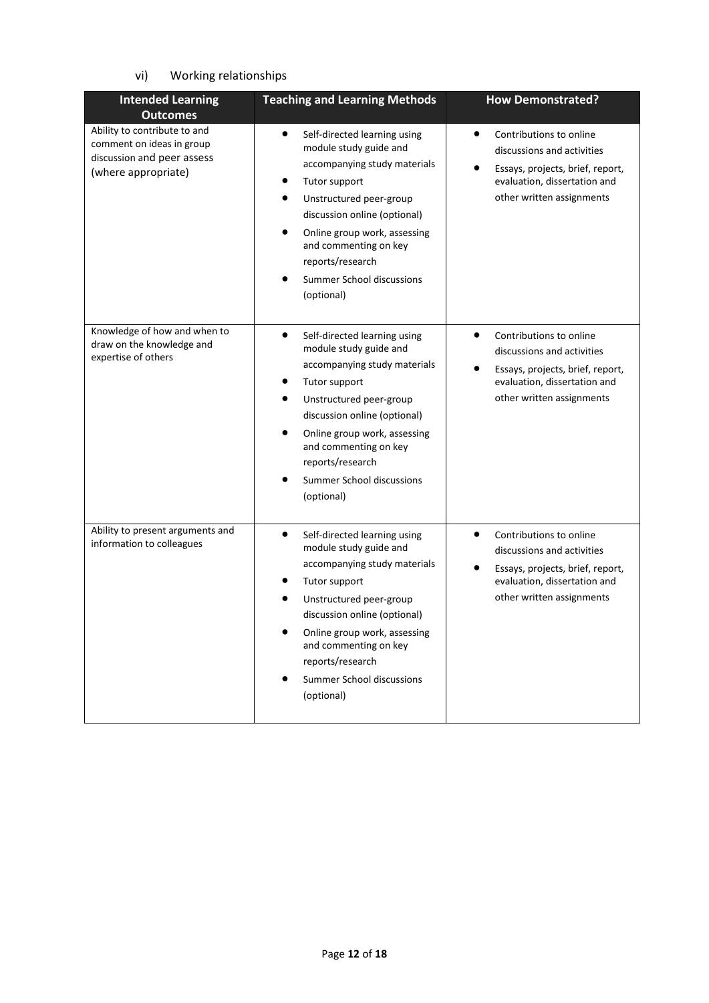# vi) Working relationships

| <b>Intended Learning</b>                                                                                       | <b>Teaching and Learning Methods</b>                                                                                                                                                                                                                                                                                 | <b>How Demonstrated?</b>                                                                                                                                                         |
|----------------------------------------------------------------------------------------------------------------|----------------------------------------------------------------------------------------------------------------------------------------------------------------------------------------------------------------------------------------------------------------------------------------------------------------------|----------------------------------------------------------------------------------------------------------------------------------------------------------------------------------|
| <b>Outcomes</b>                                                                                                |                                                                                                                                                                                                                                                                                                                      |                                                                                                                                                                                  |
| Ability to contribute to and<br>comment on ideas in group<br>discussion and peer assess<br>(where appropriate) | $\bullet$<br>Self-directed learning using<br>module study guide and<br>accompanying study materials<br>Tutor support<br>Unstructured peer-group<br>discussion online (optional)<br>Online group work, assessing<br>and commenting on key<br>reports/research<br>Summer School discussions<br>(optional)              | Contributions to online<br>$\bullet$<br>discussions and activities<br>Essays, projects, brief, report,<br>evaluation, dissertation and<br>other written assignments              |
| Knowledge of how and when to<br>draw on the knowledge and<br>expertise of others                               | $\bullet$<br>Self-directed learning using<br>module study guide and<br>accompanying study materials<br>Tutor support<br>Unstructured peer-group<br>$\bullet$<br>discussion online (optional)<br>Online group work, assessing<br>and commenting on key<br>reports/research<br>Summer School discussions<br>(optional) | $\bullet$<br>Contributions to online<br>discussions and activities<br>$\bullet$<br>Essays, projects, brief, report,<br>evaluation, dissertation and<br>other written assignments |
| Ability to present arguments and<br>information to colleagues                                                  | $\bullet$<br>Self-directed learning using<br>module study guide and<br>accompanying study materials<br>Tutor support<br>Unstructured peer-group<br>discussion online (optional)<br>Online group work, assessing<br>and commenting on key<br>reports/research<br>Summer School discussions<br>(optional)              | $\bullet$<br>Contributions to online<br>discussions and activities<br>Essays, projects, brief, report,<br>evaluation, dissertation and<br>other written assignments              |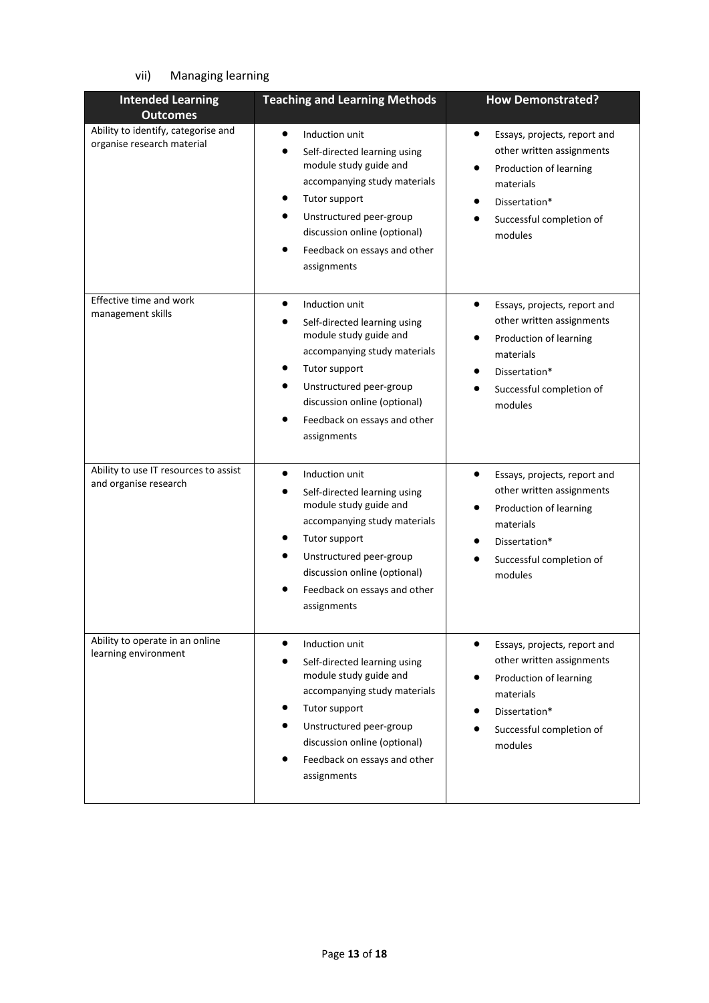# vii) Managing learning

| <b>Intended Learning</b><br><b>Outcomes</b>                       | <b>Teaching and Learning Methods</b>                                                                                                                                                                                                                                                    | <b>How Demonstrated?</b>                                                                                                                                                           |
|-------------------------------------------------------------------|-----------------------------------------------------------------------------------------------------------------------------------------------------------------------------------------------------------------------------------------------------------------------------------------|------------------------------------------------------------------------------------------------------------------------------------------------------------------------------------|
| Ability to identify, categorise and<br>organise research material | $\bullet$<br>Induction unit<br>Self-directed learning using<br>module study guide and<br>accompanying study materials<br>Tutor support<br>Unstructured peer-group<br>discussion online (optional)<br>Feedback on essays and other<br>assignments                                        | $\bullet$<br>Essays, projects, report and<br>other written assignments<br>Production of learning<br>materials<br>Dissertation*<br>Successful completion of<br>modules              |
| Effective time and work<br>management skills                      | $\bullet$<br>Induction unit<br>Self-directed learning using<br>module study guide and<br>accompanying study materials<br>Tutor support<br>Unstructured peer-group<br>$\bullet$<br>discussion online (optional)<br>Feedback on essays and other<br>assignments                           | $\bullet$<br>Essays, projects, report and<br>other written assignments<br>Production of learning<br>materials<br>Dissertation*<br>Successful completion of<br>modules              |
| Ability to use IT resources to assist<br>and organise research    | $\bullet$<br>Induction unit<br>Self-directed learning using<br>module study guide and<br>accompanying study materials<br>Tutor support<br>Unstructured peer-group<br>discussion online (optional)<br>Feedback on essays and other<br>assignments                                        | Essays, projects, report and<br>other written assignments<br>Production of learning<br>materials<br>Dissertation*<br>Successful completion of<br>modules                           |
| Ability to operate in an online<br>learning environment           | Induction unit<br>$\bullet$<br>Self-directed learning using<br>$\bullet$<br>module study guide and<br>accompanying study materials<br>Tutor support<br>Unstructured peer-group<br>$\bullet$<br>discussion online (optional)<br>$\bullet$<br>Feedback on essays and other<br>assignments | $\bullet$<br>Essays, projects, report and<br>other written assignments<br>Production of learning<br>$\bullet$<br>materials<br>Dissertation*<br>Successful completion of<br>modules |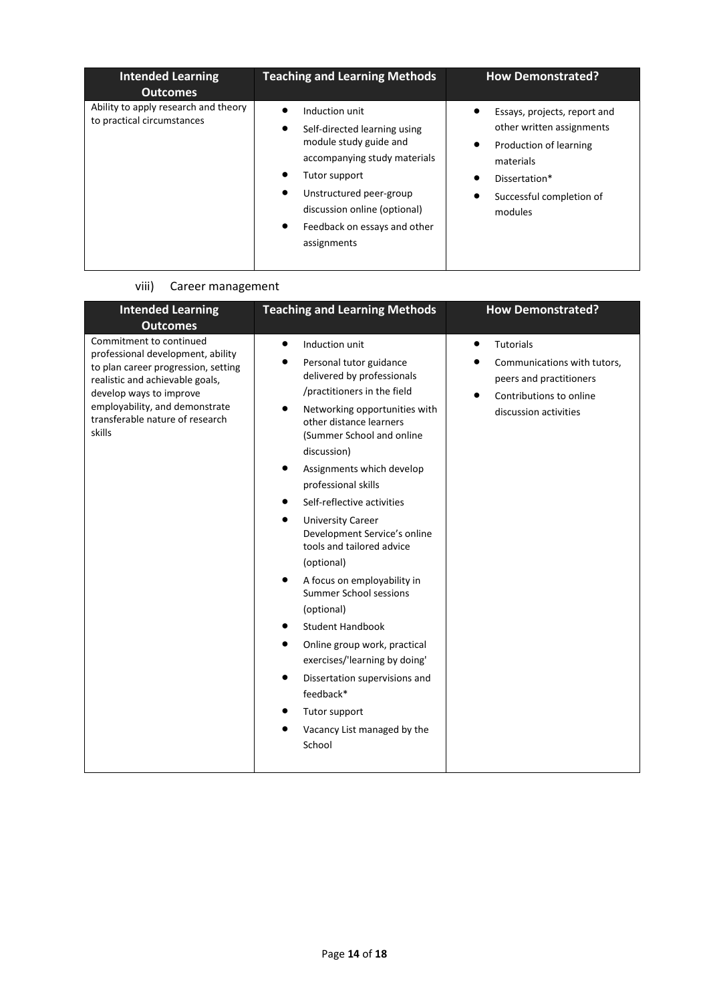| <b>Intended Learning</b><br><b>Outcomes</b>                        | <b>Teaching and Learning Methods</b>                                                                                                                                                                                                                       | <b>How Demonstrated?</b>                                                                                                                                           |
|--------------------------------------------------------------------|------------------------------------------------------------------------------------------------------------------------------------------------------------------------------------------------------------------------------------------------------------|--------------------------------------------------------------------------------------------------------------------------------------------------------------------|
| Ability to apply research and theory<br>to practical circumstances | Induction unit<br>Self-directed learning using<br>٠<br>module study guide and<br>accompanying study materials<br>Tutor support<br>Unstructured peer-group<br>٠<br>discussion online (optional)<br>Feedback on essays and other<br>$\bullet$<br>assignments | Essays, projects, report and<br>other written assignments<br>Production of learning<br>٠<br>materials<br>Dissertation*<br>٠<br>Successful completion of<br>modules |

### viii) Career management

| <b>Intended Learning</b><br><b>Outcomes</b>                                                                                                                                                                                                      | <b>Teaching and Learning Methods</b>                                                                                                                                                                                                                                                                                                                                                                                                                                                                                                                                                                                                                                                                                                       | <b>How Demonstrated?</b>                                                                                                             |
|--------------------------------------------------------------------------------------------------------------------------------------------------------------------------------------------------------------------------------------------------|--------------------------------------------------------------------------------------------------------------------------------------------------------------------------------------------------------------------------------------------------------------------------------------------------------------------------------------------------------------------------------------------------------------------------------------------------------------------------------------------------------------------------------------------------------------------------------------------------------------------------------------------------------------------------------------------------------------------------------------------|--------------------------------------------------------------------------------------------------------------------------------------|
| Commitment to continued<br>professional development, ability<br>to plan career progression, setting<br>realistic and achievable goals,<br>develop ways to improve<br>employability, and demonstrate<br>transferable nature of research<br>skills | $\bullet$<br>Induction unit<br>Personal tutor guidance<br>delivered by professionals<br>/practitioners in the field<br>Networking opportunities with<br>other distance learners<br>(Summer School and online<br>discussion)<br>Assignments which develop<br>٠<br>professional skills<br>Self-reflective activities<br>$\bullet$<br><b>University Career</b><br>٠<br>Development Service's online<br>tools and tailored advice<br>(optional)<br>A focus on employability in<br>٠<br>Summer School sessions<br>(optional)<br><b>Student Handbook</b><br>٠<br>Online group work, practical<br>٠<br>exercises/'learning by doing'<br>Dissertation supervisions and<br>٠<br>feedback*<br>Tutor support<br>Vacancy List managed by the<br>School | $\bullet$<br>Tutorials<br>Communications with tutors,<br>peers and practitioners<br>Contributions to online<br>discussion activities |
|                                                                                                                                                                                                                                                  |                                                                                                                                                                                                                                                                                                                                                                                                                                                                                                                                                                                                                                                                                                                                            |                                                                                                                                      |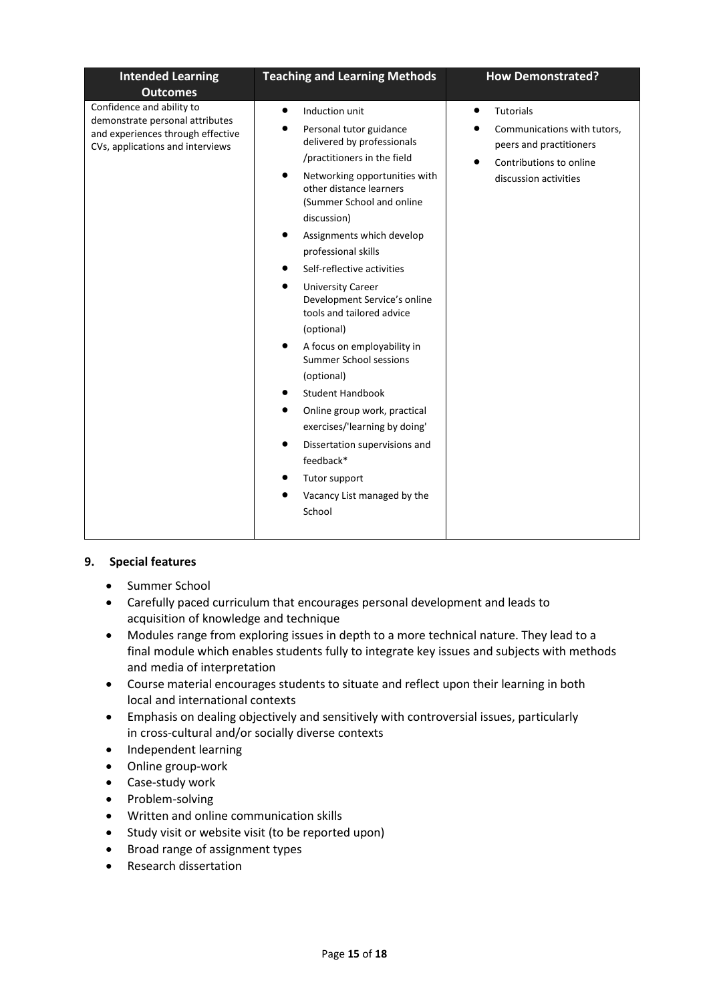| Confidence and ability to<br>Induction unit<br><b>Tutorials</b><br>$\bullet$<br>$\bullet$<br>demonstrate personal attributes<br>Personal tutor guidance<br>and experiences through effective<br>delivered by professionals<br>peers and practitioners<br>CVs, applications and interviews<br>/practitioners in the field<br>Contributions to online<br>Networking opportunities with<br>discussion activities<br>other distance learners<br>(Summer School and online                  | <b>Intended Learning</b><br><b>Outcomes</b> | <b>Teaching and Learning Methods</b> | <b>How Demonstrated?</b>    |
|----------------------------------------------------------------------------------------------------------------------------------------------------------------------------------------------------------------------------------------------------------------------------------------------------------------------------------------------------------------------------------------------------------------------------------------------------------------------------------------|---------------------------------------------|--------------------------------------|-----------------------------|
| discussion)<br>Assignments which develop<br>professional skills<br>Self-reflective activities<br><b>University Career</b><br>Development Service's online<br>tools and tailored advice<br>(optional)<br>A focus on employability in<br><b>Summer School sessions</b><br>(optional)<br><b>Student Handbook</b><br>Online group work, practical<br>exercises/'learning by doing'<br>Dissertation supervisions and<br>feedback*<br>Tutor support<br>Vacancy List managed by the<br>School |                                             |                                      | Communications with tutors, |

## **9. Special features**

- Summer School
- Carefully paced curriculum that encourages personal development and leads to acquisition of knowledge and technique
- Modules range from exploring issues in depth to a more technical nature. They lead to a final module which enables students fully to integrate key issues and subjects with methods and media of interpretation
- Course material encourages students to situate and reflect upon their learning in both local and international contexts
- Emphasis on dealing objectively and sensitively with controversial issues, particularly in cross-cultural and/or socially diverse contexts
- Independent learning
- Online group-work
- Case-study work
- Problem-solving
- Written and online communication skills
- Study visit or website visit (to be reported upon)
- Broad range of assignment types
- Research dissertation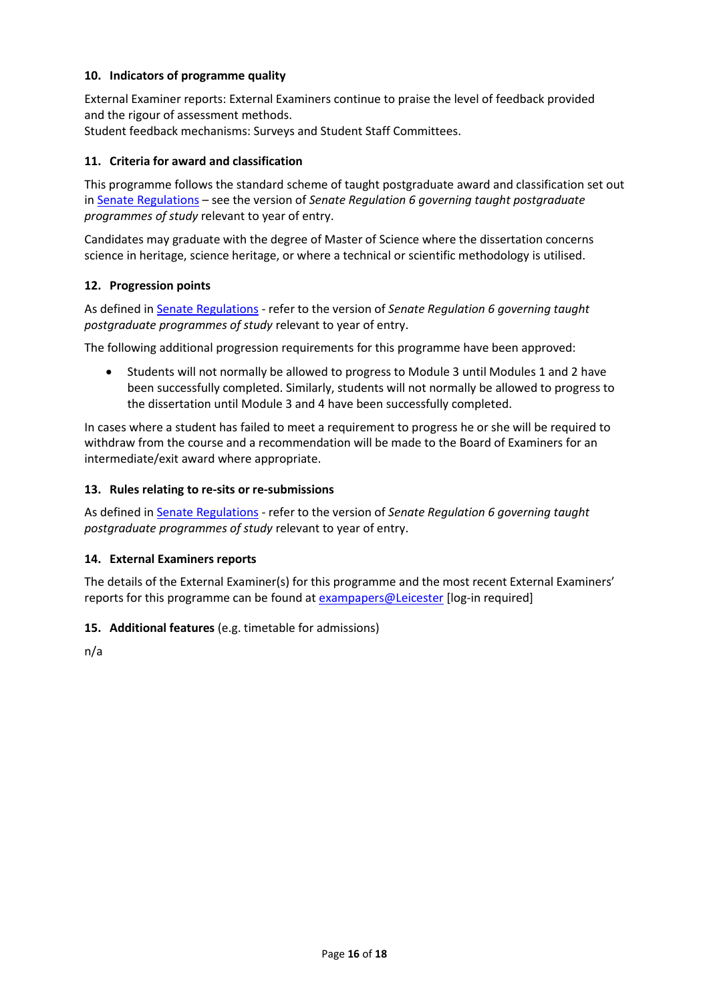### **10. Indicators of programme quality**

External Examiner reports: External Examiners continue to praise the level of feedback provided and the rigour of assessment methods.

Student feedback mechanisms: Surveys and Student Staff Committees.

#### **11. Criteria for award and classification**

This programme follows the standard scheme of taught postgraduate award and classification set out i[n Senate Regulations](http://www.le.ac.uk/senate-regulations) – see the version of *Senate Regulation 6 governing taught postgraduate programmes of study* relevant to year of entry.

Candidates may graduate with the degree of Master of Science where the dissertation concerns science in heritage, science heritage, or where a technical or scientific methodology is utilised.

#### **12. Progression points**

As defined i[n Senate Regulations](http://www.le.ac.uk/senate-regulation6) - refer to the version of *Senate Regulation 6 governing taught postgraduate programmes of study* relevant to year of entry.

The following additional progression requirements for this programme have been approved:

 Students will not normally be allowed to progress to Module 3 until Modules 1 and 2 have been successfully completed. Similarly, students will not normally be allowed to progress to the dissertation until Module 3 and 4 have been successfully completed.

In cases where a student has failed to meet a requirement to progress he or she will be required to withdraw from the course and a recommendation will be made to the Board of Examiners for an intermediate/exit award where appropriate.

#### **13. Rules relating to re-sits or re-submissions**

As defined i[n Senate Regulations](http://www.le.ac.uk/senate-regulation6) - refer to the version of *Senate Regulation 6 governing taught postgraduate programmes of study* relevant to year of entry.

#### **14. External Examiners reports**

The details of the External Examiner(s) for this programme and the most recent External Examiners' reports for this programme can be found at [exampapers@Leicester](https://exampapers.le.ac.uk/) [log-in required]

#### **15. Additional features** (e.g. timetable for admissions)

n/a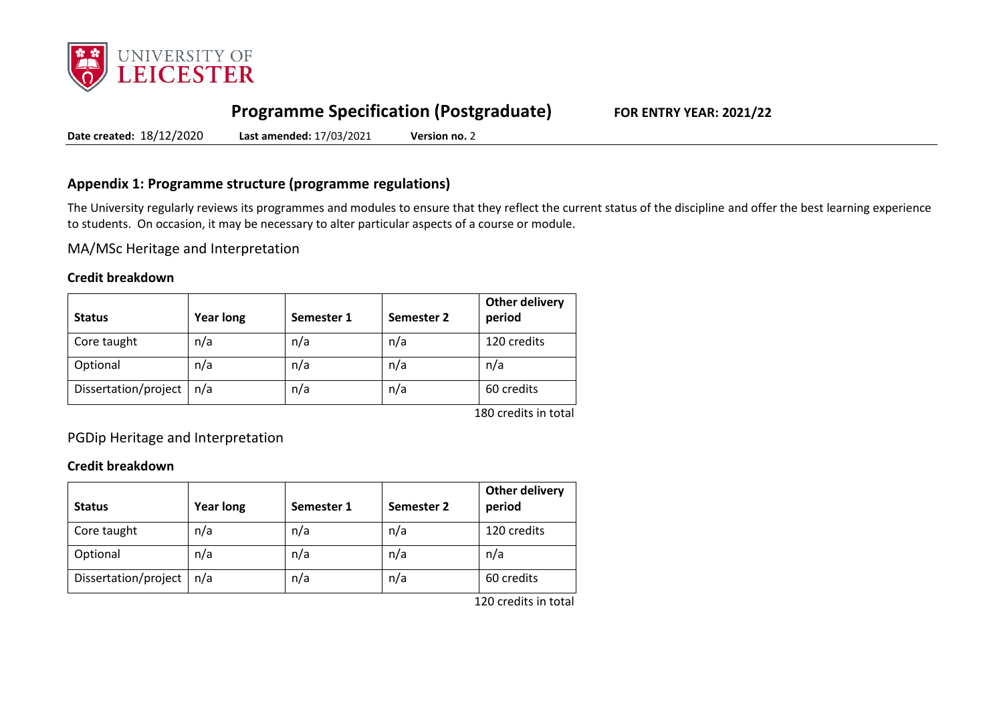

# **Programme Specification (Postgraduate) FOR ENTRY YEAR: 2021/22**

**Date created:** 18/12/2020 **Last amended:** 17/03/2021 **Version no.** 2

# **Appendix 1: Programme structure (programme regulations)**

The University regularly reviews its programmes and modules to ensure that they reflect the current status of the discipline and offer the best learning experience to students. On occasion, it may be necessary to alter particular aspects of a course or module.

MA/MSc Heritage and Interpretation

### **Credit breakdown**

| <b>Status</b>        | <b>Year long</b> | Semester 1 | Semester 2 | <b>Other delivery</b><br>period |
|----------------------|------------------|------------|------------|---------------------------------|
| Core taught          | n/a              | n/a        | n/a        | 120 credits                     |
| Optional             | n/a              | n/a        | n/a        | n/a                             |
| Dissertation/project | n/a              | n/a        | n/a        | 60 credits                      |
|                      |                  |            |            | 180 credits in total            |

PGDip Heritage and Interpretation

### **Credit breakdown**

| <b>Status</b>        | <b>Year long</b> | Semester 1 | Semester 2 | <b>Other delivery</b><br>period |
|----------------------|------------------|------------|------------|---------------------------------|
| Core taught          | n/a              | n/a        | n/a        | 120 credits                     |
| Optional             | n/a              | n/a        | n/a        | n/a                             |
| Dissertation/project | n/a              | n/a        | n/a        | 60 credits                      |
|                      |                  |            |            | $120$ aradita in tatal          |

120 credits in total